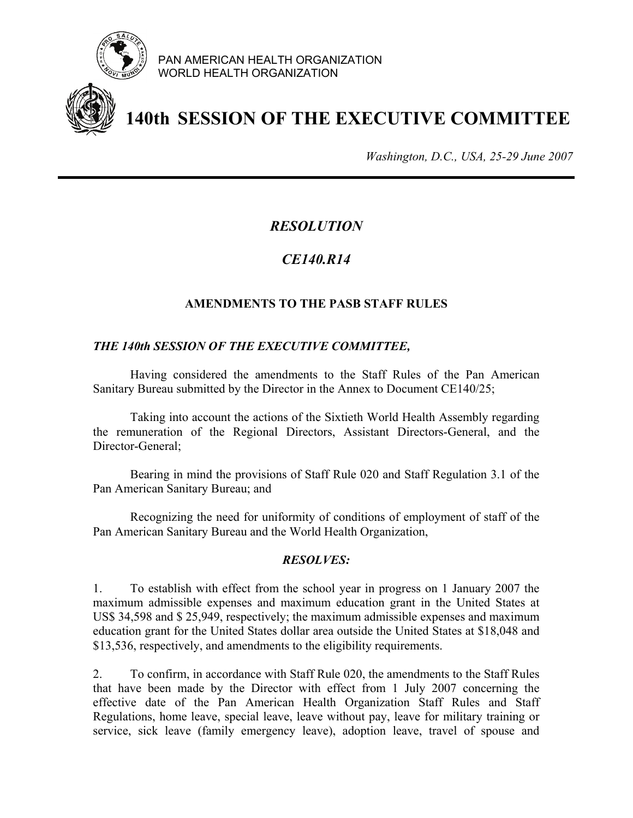

PAN AMERICAN HEALTH ORGANIZATION WORLD HEALTH ORGANIZATION



# **140th SESSION OF THE EXECUTIVE COMMITTEE**

*Washington, D.C., USA, 25-29 June 2007*

## *RESOLUTION*

## *CE140.R14*

### **AMENDMENTS TO THE PASB STAFF RULES**

#### *THE 140th SESSION OF THE EXECUTIVE COMMITTEE,*

 Having considered the amendments to the Staff Rules of the Pan American Sanitary Bureau submitted by the Director in the Annex to Document CE140/25;

 Taking into account the actions of the Sixtieth World Health Assembly regarding the remuneration of the Regional Directors, Assistant Directors-General, and the Director-General;

Bearing in mind the provisions of Staff Rule 020 and Staff Regulation 3.1 of the Pan American Sanitary Bureau; and

 Recognizing the need for uniformity of conditions of employment of staff of the Pan American Sanitary Bureau and the World Health Organization,

#### *RESOLVES:*

1. To establish with effect from the school year in progress on 1 January 2007 the maximum admissible expenses and maximum education grant in the United States at US\$ 34,598 and \$ 25,949, respectively; the maximum admissible expenses and maximum education grant for the United States dollar area outside the United States at \$18,048 and \$13,536, respectively, and amendments to the eligibility requirements.

2. To confirm, in accordance with Staff Rule 020, the amendments to the Staff Rules that have been made by the Director with effect from 1 July 2007 concerning the effective date of the Pan American Health Organization Staff Rules and Staff Regulations, home leave, special leave, leave without pay, leave for military training or service, sick leave (family emergency leave), adoption leave, travel of spouse and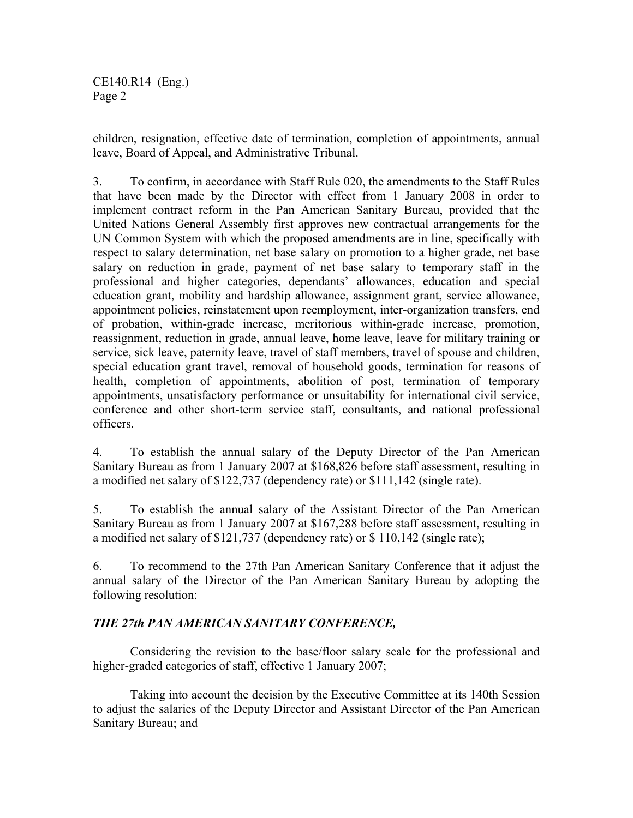CE140.R14 (Eng.) Page 2

children, resignation, effective date of termination, completion of appointments, annual leave, Board of Appeal, and Administrative Tribunal.

3. To confirm, in accordance with Staff Rule 020, the amendments to the Staff Rules that have been made by the Director with effect from 1 January 2008 in order to implement contract reform in the Pan American Sanitary Bureau, provided that the United Nations General Assembly first approves new contractual arrangements for the UN Common System with which the proposed amendments are in line, specifically with respect to salary determination, net base salary on promotion to a higher grade, net base salary on reduction in grade, payment of net base salary to temporary staff in the professional and higher categories, dependants' allowances, education and special education grant, mobility and hardship allowance, assignment grant, service allowance, appointment policies, reinstatement upon reemployment, inter-organization transfers, end of probation, within-grade increase, meritorious within-grade increase, promotion, reassignment, reduction in grade, annual leave, home leave, leave for military training or service, sick leave, paternity leave, travel of staff members, travel of spouse and children, special education grant travel, removal of household goods, termination for reasons of health, completion of appointments, abolition of post, termination of temporary appointments, unsatisfactory performance or unsuitability for international civil service, conference and other short-term service staff, consultants, and national professional officers.

4. To establish the annual salary of the Deputy Director of the Pan American Sanitary Bureau as from 1 January 2007 at \$168,826 before staff assessment, resulting in a modified net salary of \$122,737 (dependency rate) or \$111,142 (single rate).

5. To establish the annual salary of the Assistant Director of the Pan American Sanitary Bureau as from 1 January 2007 at \$167,288 before staff assessment, resulting in a modified net salary of \$121,737 (dependency rate) or \$ 110,142 (single rate);

6. To recommend to the 27th Pan American Sanitary Conference that it adjust the annual salary of the Director of the Pan American Sanitary Bureau by adopting the following resolution:

#### *THE 27th PAN AMERICAN SANITARY CONFERENCE,*

 Considering the revision to the base/floor salary scale for the professional and higher-graded categories of staff, effective 1 January 2007;

Taking into account the decision by the Executive Committee at its 140th Session to adjust the salaries of the Deputy Director and Assistant Director of the Pan American Sanitary Bureau; and